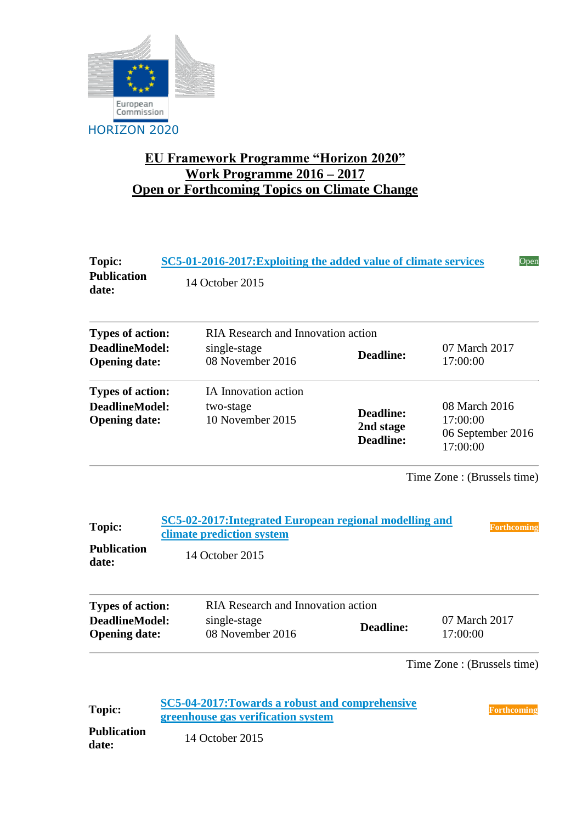

## **EU Framework Programme "Horizon 2020" Work Programme 2016 – 2017 Open or Forthcoming Topics on Climate Change**

| <b>Topic:</b><br><b>Publication</b><br>date:                         | SC5-01-2016-2017: Exploiting the added value of climate services<br>Open<br>14 October 2015 |                                                                                                          |                                            |                                                            |  |  |
|----------------------------------------------------------------------|---------------------------------------------------------------------------------------------|----------------------------------------------------------------------------------------------------------|--------------------------------------------|------------------------------------------------------------|--|--|
| <b>RIA Research and Innovation action</b><br><b>Types of action:</b> |                                                                                             |                                                                                                          |                                            |                                                            |  |  |
| <b>DeadlineModel:</b><br><b>Opening date:</b>                        |                                                                                             | single-stage<br>08 November 2016                                                                         | <b>Deadline:</b>                           | 07 March 2017<br>17:00:00                                  |  |  |
| <b>Types of action:</b>                                              |                                                                                             | IA Innovation action                                                                                     |                                            |                                                            |  |  |
| <b>DeadlineModel:</b><br><b>Opening date:</b>                        |                                                                                             | two-stage<br>10 November 2015                                                                            | Deadline:<br>2nd stage<br><b>Deadline:</b> | 08 March 2016<br>17:00:00<br>06 September 2016<br>17:00:00 |  |  |
| Topic:<br><b>Publication</b><br>date:                                |                                                                                             | SC5-02-2017: Integrated European regional modelling and<br>climate prediction system<br>14 October 2015  |                                            | <b>Forthcoming</b>                                         |  |  |
| <b>RIA Research and Innovation action</b><br><b>Types of action:</b> |                                                                                             |                                                                                                          |                                            |                                                            |  |  |
| <b>DeadlineModel:</b><br><b>Opening date:</b>                        |                                                                                             | single-stage<br>08 November 2016                                                                         | <b>Deadline:</b>                           | 07 March 2017<br>17:00:00                                  |  |  |
|                                                                      |                                                                                             |                                                                                                          |                                            | Time Zone: (Brussels time)                                 |  |  |
| <b>Topic:</b><br><b>Publication</b><br>date:                         |                                                                                             | SC5-04-2017: Towards a robust and comprehensive<br>greenhouse gas verification system<br>14 October 2015 |                                            | <b>Forthcoming</b>                                         |  |  |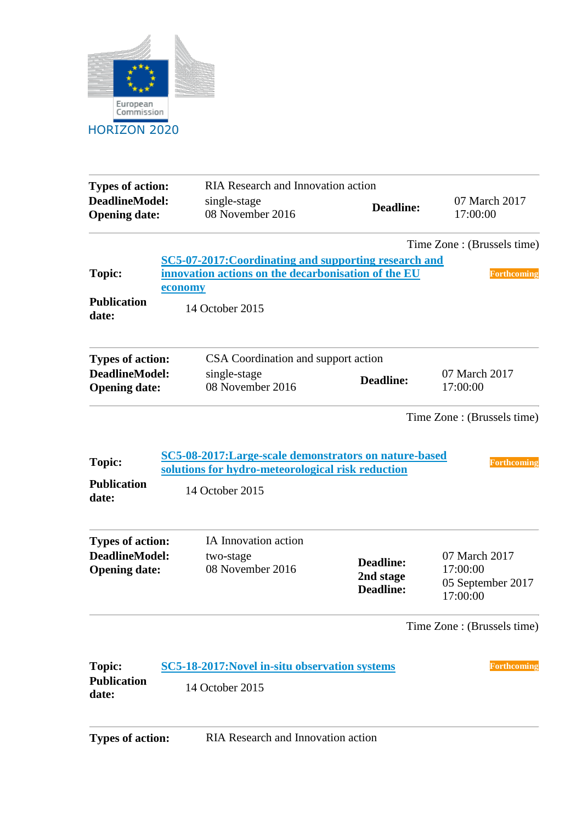

| <b>Types of action:</b><br><b>DeadlineModel:</b><br><b>Opening date:</b> | single-stage    | RIA Research and Innovation action<br>08 November 2016                    | <b>Deadline:</b>                                       | 07 March 2017<br>17:00:00                 |  |  |
|--------------------------------------------------------------------------|-----------------|---------------------------------------------------------------------------|--------------------------------------------------------|-------------------------------------------|--|--|
|                                                                          |                 |                                                                           |                                                        | Time Zone : (Brussels time)               |  |  |
|                                                                          |                 |                                                                           | SC5-07-2017:Coordinating and supporting research and   |                                           |  |  |
| <b>Topic:</b>                                                            |                 | innovation actions on the decarbonisation of the EU<br><b>Forthcoming</b> |                                                        |                                           |  |  |
|                                                                          | economy         |                                                                           |                                                        |                                           |  |  |
| <b>Publication</b><br>date:                                              | 14 October 2015 |                                                                           |                                                        |                                           |  |  |
| <b>Types of action:</b>                                                  |                 | CSA Coordination and support action                                       |                                                        |                                           |  |  |
| <b>DeadlineModel:</b>                                                    |                 | single-stage                                                              | <b>Deadline:</b>                                       | 07 March 2017                             |  |  |
| <b>Opening date:</b>                                                     |                 | 08 November 2016                                                          |                                                        | 17:00:00                                  |  |  |
| Topic:<br><b>Publication</b><br>date:                                    | 14 October 2015 | solutions for hydro-meteorological risk reduction                         | SC5-08-2017: Large-scale demonstrators on nature-based | <b>Forthcoming</b>                        |  |  |
| <b>Types of action:</b>                                                  |                 | IA Innovation action                                                      |                                                        |                                           |  |  |
| DeadlineModel:                                                           |                 | two-stage                                                                 | <b>Deadline:</b><br>2nd stage<br><b>Deadline:</b>      | 07 March 2017                             |  |  |
| <b>Opening date:</b>                                                     |                 | 08 November 2016                                                          |                                                        | 17:00:00<br>05 September 2017<br>17:00:00 |  |  |
|                                                                          |                 |                                                                           |                                                        | Time Zone: (Brussels time)                |  |  |
| <b>Topic:</b>                                                            |                 | SC5-18-2017: Novel in-situ observation systems                            |                                                        | <b>Forthcoming</b>                        |  |  |
| <b>Publication</b><br>date:                                              | 14 October 2015 |                                                                           |                                                        |                                           |  |  |